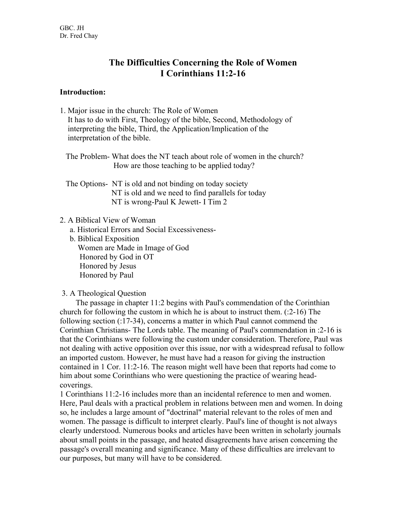# **The Difficulties Concerning the Role of Women I Corinthians 11:2-16**

#### **Introduction:**

- 1. Major issue in the church: The Role of Women It has to do with First, Theology of the bible, Second, Methodology of interpreting the bible, Third, the Application/Implication of the interpretation of the bible.
	- The Problem- What does the NT teach about role of women in the church? How are those teaching to be applied today?
	- The Options- NT is old and not binding on today society NT is old and we need to find parallels for today NT is wrong-Paul K Jewett- I Tim 2

### 2. A Biblical View of Woman

- a. Historical Errors and Social Excessiveness-
- b. Biblical Exposition Women are Made in Image of God Honored by God in OT Honored by Jesus Honored by Paul

### 3. A Theological Question

 The passage in chapter 11:2 begins with Paul's commendation of the Corinthian church for following the custom in which he is about to instruct them. (:2-16) The following section (:17-34), concerns a matter in which Paul cannot commend the Corinthian Christians- The Lords table. The meaning of Paul's commendation in :2-16 is that the Corinthians were following the custom under consideration. Therefore, Paul was not dealing with active opposition over this issue, nor with a widespread refusal to follow an imported custom. However, he must have had a reason for giving the instruction contained in 1 Cor. 11:2-16. The reason might well have been that reports had come to him about some Corinthians who were questioning the practice of wearing headcoverings.

1 Corinthians 11:2-16 includes more than an incidental reference to men and women. Here, Paul deals with a practical problem in relations between men and women. In doing so, he includes a large amount of "doctrinal" material relevant to the roles of men and women. The passage is difficult to interpret clearly. Paul's line of thought is not always clearly understood. Numerous books and articles have been written in scholarly journals about small points in the passage, and heated disagreements have arisen concerning the passage's overall meaning and significance. Many of these difficulties are irrelevant to our purposes, but many will have to be considered.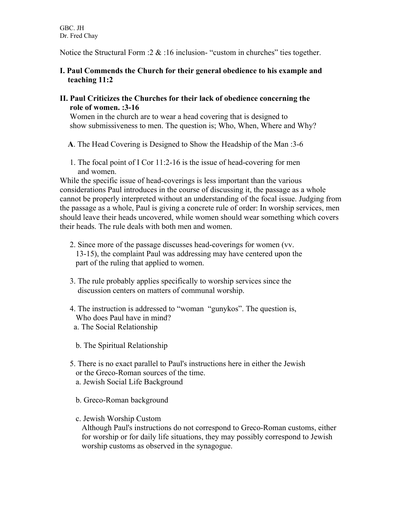Notice the Structural Form  $:2 \& 16$  inclusion- "custom in churches" ties together.

## **I. Paul Commends the Church for their general obedience to his example and teaching 11:2**

**II. Paul Criticizes the Churches for their lack of obedience concerning the role of women. :3-16**

 Women in the church are to wear a head covering that is designed to show submissiveness to men. The question is; Who, When, Where and Why?

**A**. The Head Covering is Designed to Show the Headship of the Man :3-6

 1. The focal point of I Cor 11:2-16 is the issue of head-covering for men and women.

While the specific issue of head-coverings is less important than the various considerations Paul introduces in the course of discussing it, the passage as a whole cannot be properly interpreted without an understanding of the focal issue. Judging from the passage as a whole, Paul is giving a concrete rule of order: In worship services, men should leave their heads uncovered, while women should wear something which covers their heads. The rule deals with both men and women.

- 2. Since more of the passage discusses head-coverings for women (vv. 13-15), the complaint Paul was addressing may have centered upon the part of the ruling that applied to women.
- 3. The rule probably applies specifically to worship services since the discussion centers on matters of communal worship.
- 4. The instruction is addressed to "woman "gunykos". The question is, Who does Paul have in mind?
- a. The Social Relationship
- b. The Spiritual Relationship
- 5. There is no exact parallel to Paul's instructions here in either the Jewish or the Greco-Roman sources of the time. a. Jewish Social Life Background
	- b. Greco-Roman background
	- c. Jewish Worship Custom

 Although Paul's instructions do not correspond to Greco-Roman customs, either for worship or for daily life situations, they may possibly correspond to Jewish worship customs as observed in the synagogue.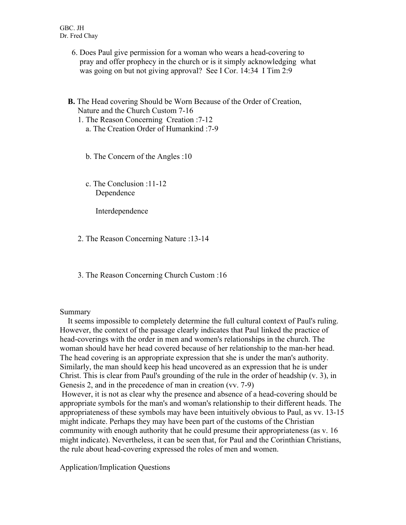- 6. Does Paul give permission for a woman who wears a head-covering to pray and offer prophecy in the church or is it simply acknowledging what was going on but not giving approval? See I Cor. 14:34 I Tim 2:9
- **B.** The Head covering Should be Worn Because of the Order of Creation, Nature and the Church Custom 7-16
	- 1. The Reason Concerning Creation :7-12 a. The Creation Order of Humankind :7-9
		- b. The Concern of the Angles :10
		- c. The Conclusion :11-12 Dependence

Interdependence

- 2. The Reason Concerning Nature :13-14
- 3. The Reason Concerning Church Custom :16

### Summary

 It seems impossible to completely determine the full cultural context of Paul's ruling. However, the context of the passage clearly indicates that Paul linked the practice of head-coverings with the order in men and women's relationships in the church. The woman should have her head covered because of her relationship to the man-her head. The head covering is an appropriate expression that she is under the man's authority. Similarly, the man should keep his head uncovered as an expression that he is under Christ. This is clear from Paul's grounding of the rule in the order of headship (v. 3), in Genesis 2, and in the precedence of man in creation (vv. 7-9)

However, it is not as clear why the presence and absence of a head-covering should be appropriate symbols for the man's and woman's relationship to their different heads. The appropriateness of these symbols may have been intuitively obvious to Paul, as vv. 13-15 might indicate. Perhaps they may have been part of the customs of the Christian community with enough authority that he could presume their appropriateness (as v. 16 might indicate). Nevertheless, it can be seen that, for Paul and the Corinthian Christians, the rule about head-covering expressed the roles of men and women.

Application/Implication Questions